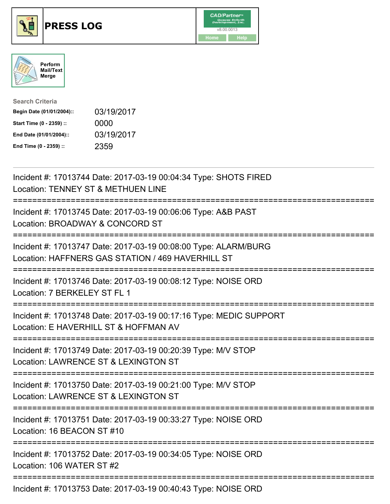





| <b>Search Criteria</b>    |            |
|---------------------------|------------|
| Begin Date (01/01/2004):: | 03/19/2017 |
| Start Time (0 - 2359) ::  | 0000       |
| End Date (01/01/2004)::   | 03/19/2017 |
| End Time (0 - 2359) ::    | 2359       |

| Incident #: 17013744 Date: 2017-03-19 00:04:34 Type: SHOTS FIRED<br>Location: TENNEY ST & METHUEN LINE                               |
|--------------------------------------------------------------------------------------------------------------------------------------|
| Incident #: 17013745 Date: 2017-03-19 00:06:06 Type: A&B PAST<br>Location: BROADWAY & CONCORD ST                                     |
| Incident #: 17013747 Date: 2017-03-19 00:08:00 Type: ALARM/BURG<br>Location: HAFFNERS GAS STATION / 469 HAVERHILL ST                 |
| Incident #: 17013746 Date: 2017-03-19 00:08:12 Type: NOISE ORD<br>Location: 7 BERKELEY ST FL 1                                       |
| Incident #: 17013748 Date: 2017-03-19 00:17:16 Type: MEDIC SUPPORT<br>Location: E HAVERHILL ST & HOFFMAN AV                          |
| Incident #: 17013749 Date: 2017-03-19 00:20:39 Type: M/V STOP<br>Location: LAWRENCE ST & LEXINGTON ST                                |
| Incident #: 17013750 Date: 2017-03-19 00:21:00 Type: M/V STOP<br>Location: LAWRENCE ST & LEXINGTON ST<br>=========================== |
| Incident #: 17013751 Date: 2017-03-19 00:33:27 Type: NOISE ORD<br>Location: 16 BEACON ST #10                                         |
| --------------<br>Incident #: 17013752 Date: 2017-03-19 00:34:05 Type: NOISE ORD<br>Location: 106 WATER ST #2                        |
| Incident #: 17013753 Date: 2017-03-19 00:40:43 Type: NOISE ORD                                                                       |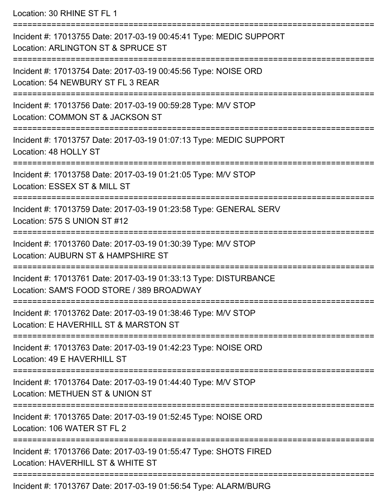Location: 30 RHINE ST FL 1 ===========================================================================

Incident #: 17013755 Date: 2017-03-19 00:45:41 Type: MEDIC SUPPORT Location: ARLINGTON ST & SPRUCE ST =========================================================================== Incident #: 17013754 Date: 2017-03-19 00:45:56 Type: NOISE ORD Location: 54 NEWBURY ST FL 3 REAR =========================================================================== Incident #: 17013756 Date: 2017-03-19 00:59:28 Type: M/V STOP Location: COMMON ST & JACKSON ST =========================================================================== Incident #: 17013757 Date: 2017-03-19 01:07:13 Type: MEDIC SUPPORT Location: 48 HOLLY ST =========================================================================== Incident #: 17013758 Date: 2017-03-19 01:21:05 Type: M/V STOP Location: ESSEX ST & MILL ST =========================================================================== Incident #: 17013759 Date: 2017-03-19 01:23:58 Type: GENERAL SERV Location: 575 S UNION ST #12 =========================================================================== Incident #: 17013760 Date: 2017-03-19 01:30:39 Type: M/V STOP Location: AUBURN ST & HAMPSHIRE ST =========================================================================== Incident #: 17013761 Date: 2017-03-19 01:33:13 Type: DISTURBANCE Location: SAM'S FOOD STORE / 389 BROADWAY =========================================================================== Incident #: 17013762 Date: 2017-03-19 01:38:46 Type: M/V STOP Location: E HAVERHILL ST & MARSTON ST =========================================================================== Incident #: 17013763 Date: 2017-03-19 01:42:23 Type: NOISE ORD Location: 49 E HAVERHILL ST =========================================================================== Incident #: 17013764 Date: 2017-03-19 01:44:40 Type: M/V STOP Location: METHUEN ST & UNION ST =========================================================================== Incident #: 17013765 Date: 2017-03-19 01:52:45 Type: NOISE ORD Location: 106 WATER ST FL 2 =========================================================================== Incident #: 17013766 Date: 2017-03-19 01:55:47 Type: SHOTS FIRED Location: HAVERHILL ST & WHITE ST =========================================================================== Incident #: 17013767 Date: 2017-03-19 01:56:54 Type: ALARM/BURG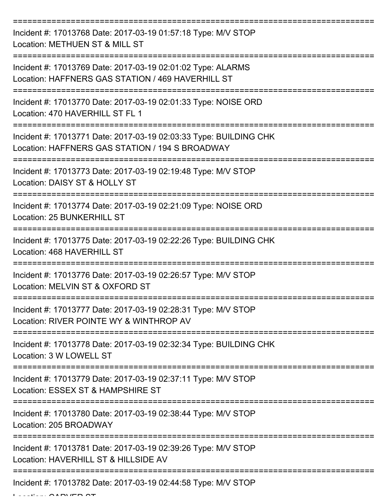| Incident #: 17013768 Date: 2017-03-19 01:57:18 Type: M/V STOP<br>Location: METHUEN ST & MILL ST                      |
|----------------------------------------------------------------------------------------------------------------------|
| Incident #: 17013769 Date: 2017-03-19 02:01:02 Type: ALARMS<br>Location: HAFFNERS GAS STATION / 469 HAVERHILL ST     |
| Incident #: 17013770 Date: 2017-03-19 02:01:33 Type: NOISE ORD<br>Location: 470 HAVERHILL ST FL 1                    |
| Incident #: 17013771 Date: 2017-03-19 02:03:33 Type: BUILDING CHK<br>Location: HAFFNERS GAS STATION / 194 S BROADWAY |
| Incident #: 17013773 Date: 2017-03-19 02:19:48 Type: M/V STOP<br>Location: DAISY ST & HOLLY ST                       |
| Incident #: 17013774 Date: 2017-03-19 02:21:09 Type: NOISE ORD<br>Location: 25 BUNKERHILL ST                         |
| Incident #: 17013775 Date: 2017-03-19 02:22:26 Type: BUILDING CHK<br>Location: 468 HAVERHILL ST                      |
| Incident #: 17013776 Date: 2017-03-19 02:26:57 Type: M/V STOP<br>Location: MELVIN ST & OXFORD ST                     |
| Incident #: 17013777 Date: 2017-03-19 02:28:31 Type: M/V STOP<br>Location: RIVER POINTE WY & WINTHROP AV             |
| Incident #: 17013778 Date: 2017-03-19 02:32:34 Type: BUILDING CHK<br>Location: 3 W LOWELL ST                         |
| Incident #: 17013779 Date: 2017-03-19 02:37:11 Type: M/V STOP<br>Location: ESSEX ST & HAMPSHIRE ST                   |
| Incident #: 17013780 Date: 2017-03-19 02:38:44 Type: M/V STOP<br>Location: 205 BROADWAY                              |
| Incident #: 17013781 Date: 2017-03-19 02:39:26 Type: M/V STOP<br>Location: HAVERHILL ST & HILLSIDE AV                |
| Incident #: 17013782 Date: 2017-03-19 02:44:58 Type: M/V STOP                                                        |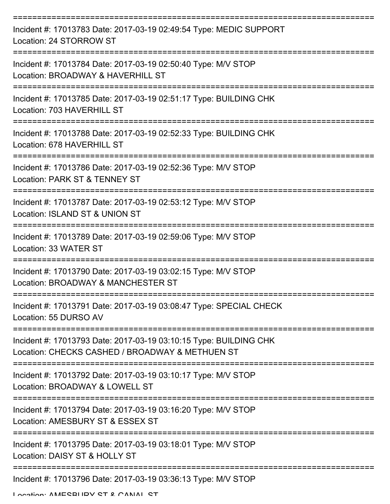| Incident #: 17013783 Date: 2017-03-19 02:49:54 Type: MEDIC SUPPORT<br>Location: 24 STORROW ST                        |
|----------------------------------------------------------------------------------------------------------------------|
| Incident #: 17013784 Date: 2017-03-19 02:50:40 Type: M/V STOP<br>Location: BROADWAY & HAVERHILL ST                   |
| Incident #: 17013785 Date: 2017-03-19 02:51:17 Type: BUILDING CHK<br>Location: 703 HAVERHILL ST                      |
| Incident #: 17013788 Date: 2017-03-19 02:52:33 Type: BUILDING CHK<br>Location: 678 HAVERHILL ST                      |
| Incident #: 17013786 Date: 2017-03-19 02:52:36 Type: M/V STOP<br>Location: PARK ST & TENNEY ST                       |
| Incident #: 17013787 Date: 2017-03-19 02:53:12 Type: M/V STOP<br>Location: ISLAND ST & UNION ST                      |
| Incident #: 17013789 Date: 2017-03-19 02:59:06 Type: M/V STOP<br>Location: 33 WATER ST                               |
| Incident #: 17013790 Date: 2017-03-19 03:02:15 Type: M/V STOP<br>Location: BROADWAY & MANCHESTER ST                  |
| Incident #: 17013791 Date: 2017-03-19 03:08:47 Type: SPECIAL CHECK<br>Location: 55 DURSO AV                          |
| Incident #: 17013793 Date: 2017-03-19 03:10:15 Type: BUILDING CHK<br>Location: CHECKS CASHED / BROADWAY & METHUEN ST |
| Incident #: 17013792 Date: 2017-03-19 03:10:17 Type: M/V STOP<br>Location: BROADWAY & LOWELL ST                      |
| Incident #: 17013794 Date: 2017-03-19 03:16:20 Type: M/V STOP<br>Location: AMESBURY ST & ESSEX ST                    |
| Incident #: 17013795 Date: 2017-03-19 03:18:01 Type: M/V STOP<br>Location: DAISY ST & HOLLY ST                       |
| Incident #: 17013796 Date: 2017-03-19 03:36:13 Type: M/V STOP<br>Location: AMECRHIDV CT & CANIAL CT                  |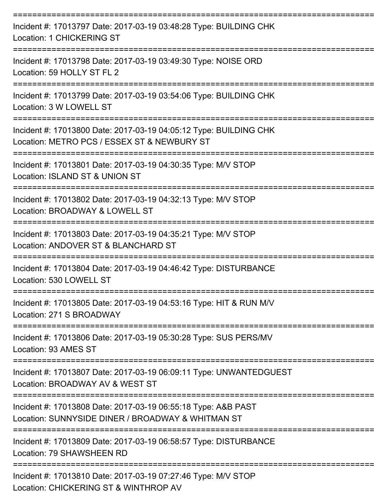| Incident #: 17013797 Date: 2017-03-19 03:48:28 Type: BUILDING CHK<br><b>Location: 1 CHICKERING ST</b>              |
|--------------------------------------------------------------------------------------------------------------------|
| Incident #: 17013798 Date: 2017-03-19 03:49:30 Type: NOISE ORD<br>Location: 59 HOLLY ST FL 2                       |
| Incident #: 17013799 Date: 2017-03-19 03:54:06 Type: BUILDING CHK<br>Location: 3 W LOWELL ST                       |
| Incident #: 17013800 Date: 2017-03-19 04:05:12 Type: BUILDING CHK<br>Location: METRO PCS / ESSEX ST & NEWBURY ST   |
| Incident #: 17013801 Date: 2017-03-19 04:30:35 Type: M/V STOP<br>Location: ISLAND ST & UNION ST                    |
| Incident #: 17013802 Date: 2017-03-19 04:32:13 Type: M/V STOP<br>Location: BROADWAY & LOWELL ST                    |
| Incident #: 17013803 Date: 2017-03-19 04:35:21 Type: M/V STOP<br>Location: ANDOVER ST & BLANCHARD ST               |
| Incident #: 17013804 Date: 2017-03-19 04:46:42 Type: DISTURBANCE<br>Location: 530 LOWELL ST                        |
| Incident #: 17013805 Date: 2017-03-19 04:53:16 Type: HIT & RUN M/V<br>Location: 271 S BROADWAY                     |
| Incident #: 17013806 Date: 2017-03-19 05:30:28 Type: SUS PERS/MV<br>Location: 93 AMES ST                           |
| Incident #: 17013807 Date: 2017-03-19 06:09:11 Type: UNWANTEDGUEST<br>Location: BROADWAY AV & WEST ST              |
| Incident #: 17013808 Date: 2017-03-19 06:55:18 Type: A&B PAST<br>Location: SUNNYSIDE DINER / BROADWAY & WHITMAN ST |
| Incident #: 17013809 Date: 2017-03-19 06:58:57 Type: DISTURBANCE<br>Location: 79 SHAWSHEEN RD                      |
| Incident #: 17013810 Date: 2017-03-19 07:27:46 Type: M/V STOP<br>Location: CHICKERING ST & WINTHROP AV             |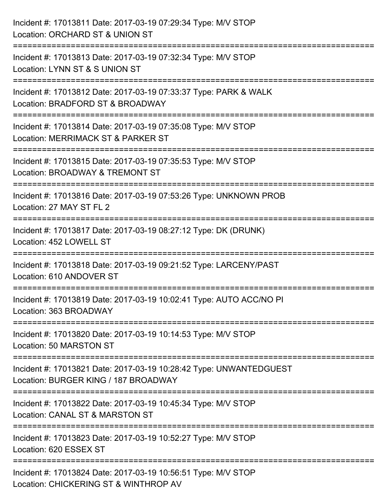| Incident #: 17013811 Date: 2017-03-19 07:29:34 Type: M/V STOP<br>Location: ORCHARD ST & UNION ST                                             |
|----------------------------------------------------------------------------------------------------------------------------------------------|
| Incident #: 17013813 Date: 2017-03-19 07:32:34 Type: M/V STOP<br>Location: LYNN ST & S UNION ST                                              |
| Incident #: 17013812 Date: 2017-03-19 07:33:37 Type: PARK & WALK<br>Location: BRADFORD ST & BROADWAY<br>;=================================== |
| Incident #: 17013814 Date: 2017-03-19 07:35:08 Type: M/V STOP<br>Location: MERRIMACK ST & PARKER ST                                          |
| Incident #: 17013815 Date: 2017-03-19 07:35:53 Type: M/V STOP<br>Location: BROADWAY & TREMONT ST                                             |
| Incident #: 17013816 Date: 2017-03-19 07:53:26 Type: UNKNOWN PROB<br>Location: 27 MAY ST FL 2                                                |
| Incident #: 17013817 Date: 2017-03-19 08:27:12 Type: DK (DRUNK)<br>Location: 452 LOWELL ST                                                   |
| Incident #: 17013818 Date: 2017-03-19 09:21:52 Type: LARCENY/PAST<br>Location: 610 ANDOVER ST                                                |
| Incident #: 17013819 Date: 2017-03-19 10:02:41 Type: AUTO ACC/NO PI<br>Location: 363 BROADWAY                                                |
| Incident #: 17013820 Date: 2017-03-19 10:14:53 Type: M/V STOP<br>Location: 50 MARSTON ST                                                     |
| Incident #: 17013821 Date: 2017-03-19 10:28:42 Type: UNWANTEDGUEST<br>Location: BURGER KING / 187 BROADWAY                                   |
| -----------------------------<br>Incident #: 17013822 Date: 2017-03-19 10:45:34 Type: M/V STOP<br>Location: CANAL ST & MARSTON ST            |
| Incident #: 17013823 Date: 2017-03-19 10:52:27 Type: M/V STOP<br>Location: 620 ESSEX ST                                                      |
| Incident #: 17013824 Date: 2017-03-19 10:56:51 Type: M/V STOP<br>Location: CHICKERING ST & WINTHROP AV                                       |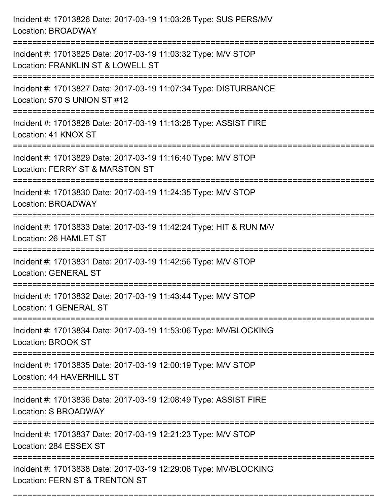| Incident #: 17013826 Date: 2017-03-19 11:03:28 Type: SUS PERS/MV<br>Location: BROADWAY                                            |
|-----------------------------------------------------------------------------------------------------------------------------------|
| Incident #: 17013825 Date: 2017-03-19 11:03:32 Type: M/V STOP<br>Location: FRANKLIN ST & LOWELL ST                                |
| Incident #: 17013827 Date: 2017-03-19 11:07:34 Type: DISTURBANCE<br>Location: 570 S UNION ST #12<br>:============================ |
| Incident #: 17013828 Date: 2017-03-19 11:13:28 Type: ASSIST FIRE<br>Location: 41 KNOX ST                                          |
| Incident #: 17013829 Date: 2017-03-19 11:16:40 Type: M/V STOP<br>Location: FERRY ST & MARSTON ST                                  |
| Incident #: 17013830 Date: 2017-03-19 11:24:35 Type: M/V STOP<br>Location: BROADWAY                                               |
| Incident #: 17013833 Date: 2017-03-19 11:42:24 Type: HIT & RUN M/V<br>Location: 26 HAMLET ST                                      |
| Incident #: 17013831 Date: 2017-03-19 11:42:56 Type: M/V STOP<br><b>Location: GENERAL ST</b>                                      |
| Incident #: 17013832 Date: 2017-03-19 11:43:44 Type: M/V STOP<br>Location: 1 GENERAL ST                                           |
| Incident #: 17013834 Date: 2017-03-19 11:53:06 Type: MV/BLOCKING<br><b>Location: BROOK ST</b><br>-------------------------------- |
| ===============================<br>Incident #: 17013835 Date: 2017-03-19 12:00:19 Type: M/V STOP<br>Location: 44 HAVERHILL ST     |
| Incident #: 17013836 Date: 2017-03-19 12:08:49 Type: ASSIST FIRE<br>Location: S BROADWAY                                          |
| Incident #: 17013837 Date: 2017-03-19 12:21:23 Type: M/V STOP<br>Location: 284 ESSEX ST                                           |
| Incident #: 17013838 Date: 2017-03-19 12:29:06 Type: MV/BLOCKING<br>Location: FERN ST & TRENTON ST                                |

===========================================================================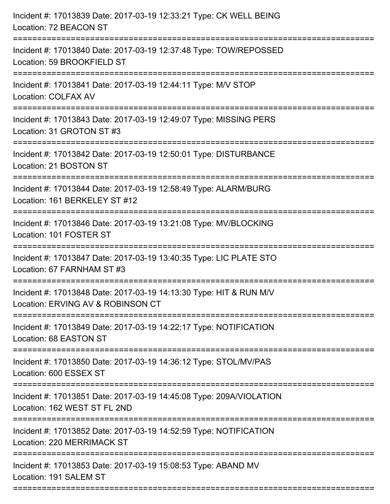| Incident #: 17013839 Date: 2017-03-19 12:33:21 Type: CK WELL BEING<br>Location: 72 BEACON ST                                |
|-----------------------------------------------------------------------------------------------------------------------------|
| Incident #: 17013840 Date: 2017-03-19 12:37:48 Type: TOW/REPOSSED<br>Location: 59 BROOKFIELD ST                             |
| Incident #: 17013841 Date: 2017-03-19 12:44:11 Type: M/V STOP<br>Location: COLFAX AV<br>================================    |
| Incident #: 17013843 Date: 2017-03-19 12:49:07 Type: MISSING PERS<br>Location: 31 GROTON ST #3                              |
| Incident #: 17013842 Date: 2017-03-19 12:50:01 Type: DISTURBANCE<br>Location: 21 BOSTON ST<br>----------------------------- |
| Incident #: 17013844 Date: 2017-03-19 12:58:49 Type: ALARM/BURG<br>Location: 161 BERKELEY ST #12                            |
| Incident #: 17013846 Date: 2017-03-19 13:21:08 Type: MV/BLOCKING<br>Location: 101 FOSTER ST                                 |
| Incident #: 17013847 Date: 2017-03-19 13:40:35 Type: LIC PLATE STO<br>Location: 67 FARNHAM ST #3                            |
| Incident #: 17013848 Date: 2017-03-19 14:13:30 Type: HIT & RUN M/V<br>Location: ERVING AV & ROBINSON CT                     |
| Incident #: 17013849 Date: 2017-03-19 14:22:17 Type: NOTIFICATION<br>Location: 68 EASTON ST                                 |
| Incident #: 17013850 Date: 2017-03-19 14:36:12 Type: STOL/MV/PAS<br>Location: 600 ESSEX ST                                  |
| Incident #: 17013851 Date: 2017-03-19 14:45:08 Type: 209A/VIOLATION<br>Location: 162 WEST ST FL 2ND                         |
| Incident #: 17013852 Date: 2017-03-19 14:52:59 Type: NOTIFICATION<br>Location: 220 MERRIMACK ST                             |
| Incident #: 17013853 Date: 2017-03-19 15:08:53 Type: ABAND MV<br>Location: 191 SALEM ST                                     |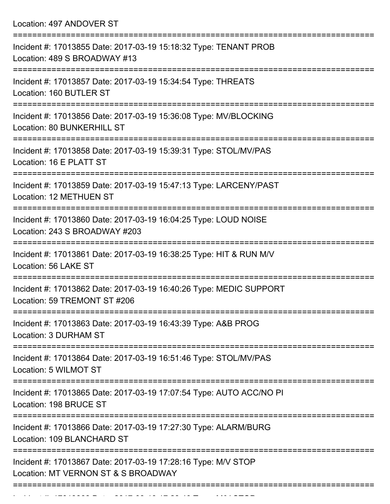Location: 497 ANDOVER ST

| Incident #: 17013855 Date: 2017-03-19 15:18:32 Type: TENANT PROB<br>Location: 489 S BROADWAY #13                                                        |
|---------------------------------------------------------------------------------------------------------------------------------------------------------|
| Incident #: 17013857 Date: 2017-03-19 15:34:54 Type: THREATS<br>Location: 160 BUTLER ST                                                                 |
| Incident #: 17013856 Date: 2017-03-19 15:36:08 Type: MV/BLOCKING<br>Location: 80 BUNKERHILL ST                                                          |
| Incident #: 17013858 Date: 2017-03-19 15:39:31 Type: STOL/MV/PAS<br>Location: 16 E PLATT ST                                                             |
| Incident #: 17013859 Date: 2017-03-19 15:47:13 Type: LARCENY/PAST<br>Location: 12 METHUEN ST                                                            |
| Incident #: 17013860 Date: 2017-03-19 16:04:25 Type: LOUD NOISE<br>Location: 243 S BROADWAY #203                                                        |
| Incident #: 17013861 Date: 2017-03-19 16:38:25 Type: HIT & RUN M/V<br>Location: 56 LAKE ST                                                              |
| Incident #: 17013862 Date: 2017-03-19 16:40:26 Type: MEDIC SUPPORT<br>Location: 59 TREMONT ST #206                                                      |
| Incident #: 17013863 Date: 2017-03-19 16:43:39 Type: A&B PROG<br>Location: 3 DURHAM ST                                                                  |
| =======================<br>===============================<br>Incident #: 17013864 Date: 2017-03-19 16:51:46 Type: STOL/MV/PAS<br>Location: 5 WILMOT ST |
| Incident #: 17013865 Date: 2017-03-19 17:07:54 Type: AUTO ACC/NO PI<br>Location: 198 BRUCE ST                                                           |
| Incident #: 17013866 Date: 2017-03-19 17:27:30 Type: ALARM/BURG<br>Location: 109 BLANCHARD ST                                                           |
| Incident #: 17013867 Date: 2017-03-19 17:28:16 Type: M/V STOP<br>Location: MT VERNON ST & S BROADWAY                                                    |
|                                                                                                                                                         |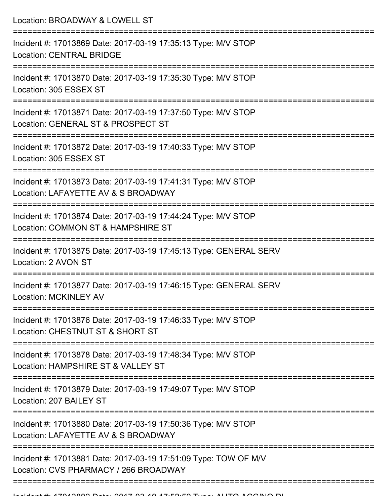| Location: BROADWAY & LOWELL ST<br>==================                                                                              |
|-----------------------------------------------------------------------------------------------------------------------------------|
| Incident #: 17013869 Date: 2017-03-19 17:35:13 Type: M/V STOP<br><b>Location: CENTRAL BRIDGE</b>                                  |
| Incident #: 17013870 Date: 2017-03-19 17:35:30 Type: M/V STOP<br>Location: 305 ESSEX ST<br>:===================================== |
| Incident #: 17013871 Date: 2017-03-19 17:37:50 Type: M/V STOP<br>Location: GENERAL ST & PROSPECT ST                               |
| Incident #: 17013872 Date: 2017-03-19 17:40:33 Type: M/V STOP<br>Location: 305 ESSEX ST                                           |
| Incident #: 17013873 Date: 2017-03-19 17:41:31 Type: M/V STOP<br>Location: LAFAYETTE AV & S BROADWAY                              |
| Incident #: 17013874 Date: 2017-03-19 17:44:24 Type: M/V STOP<br>Location: COMMON ST & HAMPSHIRE ST                               |
| Incident #: 17013875 Date: 2017-03-19 17:45:13 Type: GENERAL SERV<br>Location: 2 AVON ST                                          |
| Incident #: 17013877 Date: 2017-03-19 17:46:15 Type: GENERAL SERV<br>Location: MCKINLEY AV                                        |
| Incident #: 17013876 Date: 2017-03-19 17:46:33 Type: M/V STOP<br>Location: CHESTNUT ST & SHORT ST                                 |
| Incident #: 17013878 Date: 2017-03-19 17:48:34 Type: M/V STOP<br>Location: HAMPSHIRE ST & VALLEY ST                               |
| Incident #: 17013879 Date: 2017-03-19 17:49:07 Type: M/V STOP<br>Location: 207 BAILEY ST                                          |
| Incident #: 17013880 Date: 2017-03-19 17:50:36 Type: M/V STOP<br>Location: LAFAYETTE AV & S BROADWAY                              |
| Incident #: 17013881 Date: 2017-03-19 17:51:09 Type: TOW OF M/V<br>Location: CVS PHARMACY / 266 BROADWAY                          |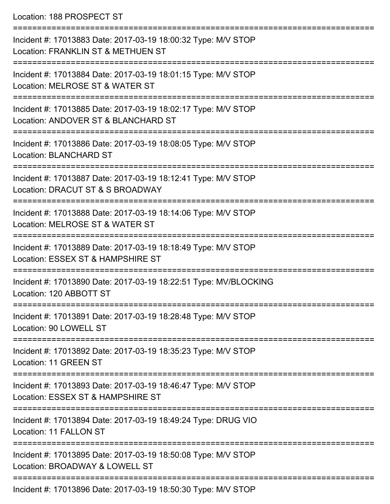Location: 188 PROSPECT ST

| Incident #: 17013883 Date: 2017-03-19 18:00:32 Type: M/V STOP<br>Location: FRANKLIN ST & METHUEN ST  |
|------------------------------------------------------------------------------------------------------|
| Incident #: 17013884 Date: 2017-03-19 18:01:15 Type: M/V STOP<br>Location: MELROSE ST & WATER ST     |
| Incident #: 17013885 Date: 2017-03-19 18:02:17 Type: M/V STOP<br>Location: ANDOVER ST & BLANCHARD ST |
| Incident #: 17013886 Date: 2017-03-19 18:08:05 Type: M/V STOP<br><b>Location: BLANCHARD ST</b>       |
| Incident #: 17013887 Date: 2017-03-19 18:12:41 Type: M/V STOP<br>Location: DRACUT ST & S BROADWAY    |
| Incident #: 17013888 Date: 2017-03-19 18:14:06 Type: M/V STOP<br>Location: MELROSE ST & WATER ST     |
| Incident #: 17013889 Date: 2017-03-19 18:18:49 Type: M/V STOP<br>Location: ESSEX ST & HAMPSHIRE ST   |
| Incident #: 17013890 Date: 2017-03-19 18:22:51 Type: MV/BLOCKING<br>Location: 120 ABBOTT ST          |
| Incident #: 17013891 Date: 2017-03-19 18:28:48 Type: M/V STOP<br>Location: 90 LOWELL ST              |
| Incident #: 17013892 Date: 2017-03-19 18:35:23 Type: M/V STOP<br>Location: 11 GREEN ST               |
| Incident #: 17013893 Date: 2017-03-19 18:46:47 Type: M/V STOP<br>Location: ESSEX ST & HAMPSHIRE ST   |
| Incident #: 17013894 Date: 2017-03-19 18:49:24 Type: DRUG VIO<br>Location: 11 FALLON ST              |
| Incident #: 17013895 Date: 2017-03-19 18:50:08 Type: M/V STOP<br>Location: BROADWAY & LOWELL ST      |
| Incident #: 17013896 Date: 2017-03-19 18:50:30 Type: M/V STOP                                        |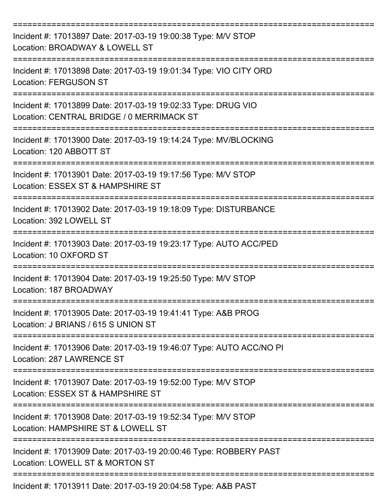| Incident #: 17013897 Date: 2017-03-19 19:00:38 Type: M/V STOP<br>Location: BROADWAY & LOWELL ST            |
|------------------------------------------------------------------------------------------------------------|
| Incident #: 17013898 Date: 2017-03-19 19:01:34 Type: VIO CITY ORD<br><b>Location: FERGUSON ST</b>          |
| Incident #: 17013899 Date: 2017-03-19 19:02:33 Type: DRUG VIO<br>Location: CENTRAL BRIDGE / 0 MERRIMACK ST |
| Incident #: 17013900 Date: 2017-03-19 19:14:24 Type: MV/BLOCKING<br>Location: 120 ABBOTT ST                |
| Incident #: 17013901 Date: 2017-03-19 19:17:56 Type: M/V STOP<br>Location: ESSEX ST & HAMPSHIRE ST         |
| Incident #: 17013902 Date: 2017-03-19 19:18:09 Type: DISTURBANCE<br>Location: 392 LOWELL ST                |
| Incident #: 17013903 Date: 2017-03-19 19:23:17 Type: AUTO ACC/PED<br>Location: 10 OXFORD ST                |
| Incident #: 17013904 Date: 2017-03-19 19:25:50 Type: M/V STOP<br>Location: 187 BROADWAY                    |
| Incident #: 17013905 Date: 2017-03-19 19:41:41 Type: A&B PROG<br>Location: J BRIANS / 615 S UNION ST       |
| Incident #: 17013906 Date: 2017-03-19 19:46:07 Type: AUTO ACC/NO PI<br>Location: 287 LAWRENCE ST           |
| Incident #: 17013907 Date: 2017-03-19 19:52:00 Type: M/V STOP<br>Location: ESSEX ST & HAMPSHIRE ST         |
| Incident #: 17013908 Date: 2017-03-19 19:52:34 Type: M/V STOP<br>Location: HAMPSHIRE ST & LOWELL ST        |
| Incident #: 17013909 Date: 2017-03-19 20:00:46 Type: ROBBERY PAST<br>Location: LOWELL ST & MORTON ST       |
| Incident #: 17013911 Date: 2017-03-19 20:04:58 Type: A&B PAST                                              |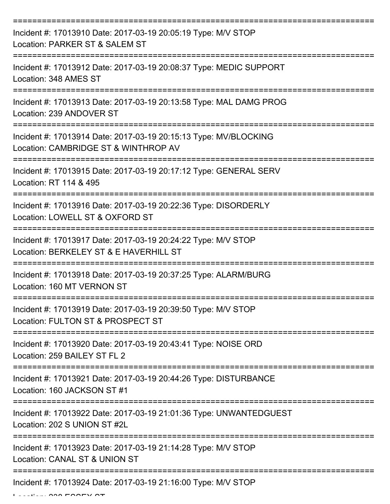| Incident #: 17013910 Date: 2017-03-19 20:05:19 Type: M/V STOP<br>Location: PARKER ST & SALEM ST          |
|----------------------------------------------------------------------------------------------------------|
| Incident #: 17013912 Date: 2017-03-19 20:08:37 Type: MEDIC SUPPORT<br>Location: 348 AMES ST              |
| Incident #: 17013913 Date: 2017-03-19 20:13:58 Type: MAL DAMG PROG<br>Location: 239 ANDOVER ST           |
| Incident #: 17013914 Date: 2017-03-19 20:15:13 Type: MV/BLOCKING<br>Location: CAMBRIDGE ST & WINTHROP AV |
| Incident #: 17013915 Date: 2017-03-19 20:17:12 Type: GENERAL SERV<br>Location: RT 114 & 495              |
| Incident #: 17013916 Date: 2017-03-19 20:22:36 Type: DISORDERLY<br>Location: LOWELL ST & OXFORD ST       |
| Incident #: 17013917 Date: 2017-03-19 20:24:22 Type: M/V STOP<br>Location: BERKELEY ST & E HAVERHILL ST  |
| Incident #: 17013918 Date: 2017-03-19 20:37:25 Type: ALARM/BURG<br>Location: 160 MT VERNON ST            |
| Incident #: 17013919 Date: 2017-03-19 20:39:50 Type: M/V STOP<br>Location: FULTON ST & PROSPECT ST       |
| Incident #: 17013920 Date: 2017-03-19 20:43:41 Type: NOISE ORD<br>Location: 259 BAILEY ST FL 2           |
| Incident #: 17013921 Date: 2017-03-19 20:44:26 Type: DISTURBANCE<br>Location: 160 JACKSON ST #1          |
| Incident #: 17013922 Date: 2017-03-19 21:01:36 Type: UNWANTEDGUEST<br>Location: 202 S UNION ST #2L       |
| Incident #: 17013923 Date: 2017-03-19 21:14:28 Type: M/V STOP<br>Location: CANAL ST & UNION ST           |
| Incident #: 17013924 Date: 2017-03-19 21:16:00 Type: M/V STOP                                            |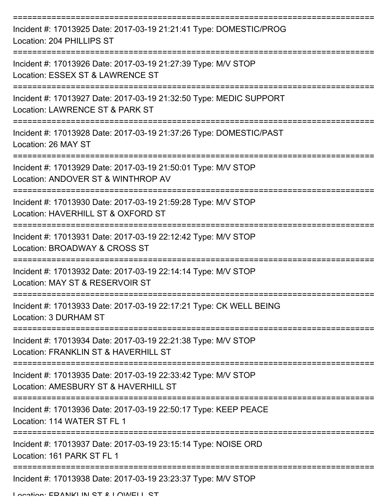| Incident #: 17013925 Date: 2017-03-19 21:21:41 Type: DOMESTIC/PROG<br>Location: 204 PHILLIPS ST       |
|-------------------------------------------------------------------------------------------------------|
| Incident #: 17013926 Date: 2017-03-19 21:27:39 Type: M/V STOP<br>Location: ESSEX ST & LAWRENCE ST     |
| Incident #: 17013927 Date: 2017-03-19 21:32:50 Type: MEDIC SUPPORT<br>Location: LAWRENCE ST & PARK ST |
| Incident #: 17013928 Date: 2017-03-19 21:37:26 Type: DOMESTIC/PAST<br>Location: 26 MAY ST             |
| Incident #: 17013929 Date: 2017-03-19 21:50:01 Type: M/V STOP<br>Location: ANDOVER ST & WINTHROP AV   |
| Incident #: 17013930 Date: 2017-03-19 21:59:28 Type: M/V STOP<br>Location: HAVERHILL ST & OXFORD ST   |
| Incident #: 17013931 Date: 2017-03-19 22:12:42 Type: M/V STOP<br>Location: BROADWAY & CROSS ST        |
| Incident #: 17013932 Date: 2017-03-19 22:14:14 Type: M/V STOP<br>Location: MAY ST & RESERVOIR ST      |
| Incident #: 17013933 Date: 2017-03-19 22:17:21 Type: CK WELL BEING<br>Location: 3 DURHAM ST           |
| Incident #: 17013934 Date: 2017-03-19 22:21:38 Type: M/V STOP<br>Location: FRANKLIN ST & HAVERHILL ST |
| Incident #: 17013935 Date: 2017-03-19 22:33:42 Type: M/V STOP<br>Location: AMESBURY ST & HAVERHILL ST |
| Incident #: 17013936 Date: 2017-03-19 22:50:17 Type: KEEP PEACE<br>Location: 114 WATER ST FL 1        |
| Incident #: 17013937 Date: 2017-03-19 23:15:14 Type: NOISE ORD<br>Location: 161 PARK ST FL 1          |
| Incident #: 17013938 Date: 2017-03-19 23:23:37 Type: M/V STOP                                         |

Location: EDANIKI IN ST & LOWELL ST